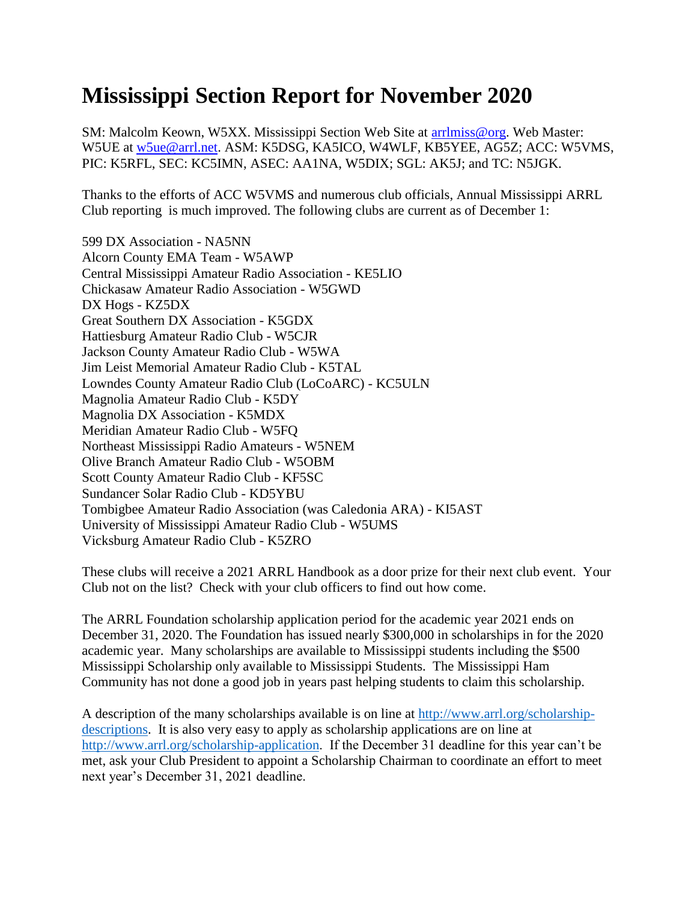## **Mississippi Section Report for November 2020**

SM: Malcolm Keown, W5XX. Mississippi Section Web Site at [arrlmiss@org.](mailto:arrlmiss@org) Web Master: W5UE at [w5ue@arrl.net.](mailto:w5ue@arrl.net) ASM: K5DSG, KA5ICO, W4WLF, KB5YEE, AG5Z; ACC: W5VMS, PIC: K5RFL, SEC: KC5IMN, ASEC: AA1NA, W5DIX; SGL: AK5J; and TC: N5JGK.

Thanks to the efforts of ACC W5VMS and numerous club officials, Annual Mississippi ARRL Club reporting is much improved. The following clubs are current as of December 1:

599 DX Association - NA5NN Alcorn County EMA Team - W5AWP Central Mississippi Amateur Radio Association - KE5LIO Chickasaw Amateur Radio Association - W5GWD DX Hogs - KZ5DX Great Southern DX Association - K5GDX Hattiesburg Amateur Radio Club - W5CJR Jackson County Amateur Radio Club - W5WA Jim Leist Memorial Amateur Radio Club - K5TAL Lowndes County Amateur Radio Club (LoCoARC) - KC5ULN Magnolia Amateur Radio Club - K5DY Magnolia DX Association - K5MDX Meridian Amateur Radio Club - W5FQ Northeast Mississippi Radio Amateurs - W5NEM Olive Branch Amateur Radio Club - W5OBM Scott County Amateur Radio Club - KF5SC Sundancer Solar Radio Club - KD5YBU Tombigbee Amateur Radio Association (was Caledonia ARA) - KI5AST University of Mississippi Amateur Radio Club - W5UMS Vicksburg Amateur Radio Club - K5ZRO

These clubs will receive a 2021 ARRL Handbook as a door prize for their next club event. Your Club not on the list? Check with your club officers to find out how come.

The ARRL Foundation scholarship application period for the academic year 2021 ends on December 31, 2020. The Foundation has issued nearly \$300,000 in scholarships in for the 2020 academic year. Many scholarships are available to Mississippi students including the \$500 Mississippi Scholarship only available to Mississippi Students. The Mississippi Ham Community has not done a good job in years past helping students to claim this scholarship.

A description of the many scholarships available is on line at [http://www.arrl.org/scholarship](http://www.arrl.org/scholarship-descriptions)[descriptions.](http://www.arrl.org/scholarship-descriptions) It is also very easy to apply as scholarship applications are on line at [http://www.arrl.org/scholarship-application.](http://www.arrl.org/scholarship-application) If the December 31 deadline for this year can't be met, ask your Club President to appoint a Scholarship Chairman to coordinate an effort to meet next year's December 31, 2021 deadline.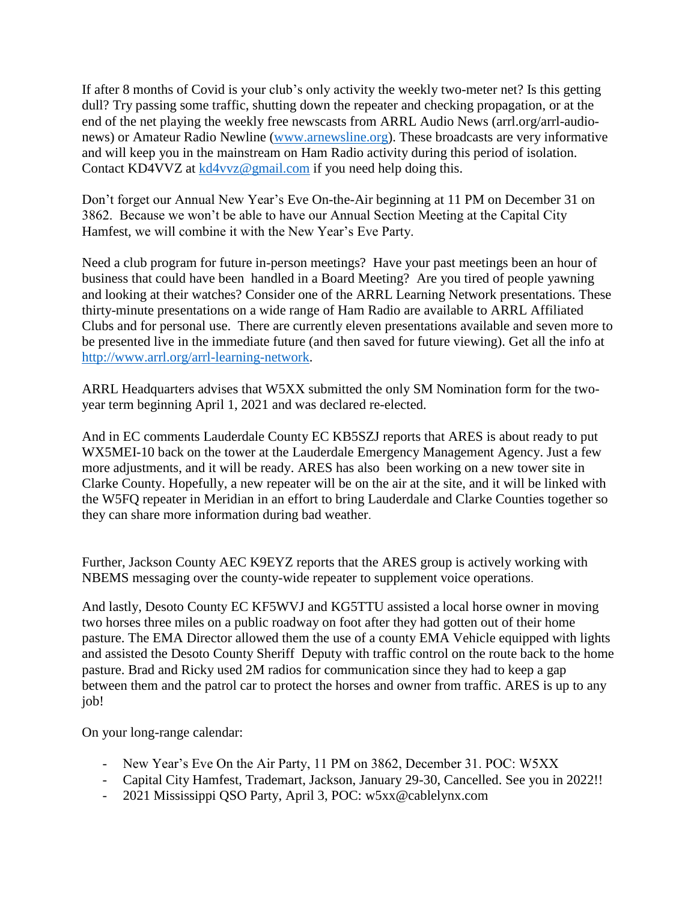If after 8 months of Covid is your club's only activity the weekly two-meter net? Is this getting dull? Try passing some traffic, shutting down the repeater and checking propagation, or at the end of the net playing the weekly free newscasts from ARRL Audio News (arrl.org/arrl-audionews) or Amateur Radio Newline [\(www.arnewsline.org\)](http://www.arnewsline.org/). These broadcasts are very informative and will keep you in the mainstream on Ham Radio activity during this period of isolation. Contact KD4VVZ at [kd4vvz@gmail.com](mailto:kd4vvz@gmail.com) if you need help doing this.

Don't forget our Annual New Year's Eve On-the-Air beginning at 11 PM on December 31 on 3862. Because we won't be able to have our Annual Section Meeting at the Capital City Hamfest, we will combine it with the New Year's Eve Party.

Need a club program for future in-person meetings? Have your past meetings been an hour of business that could have been handled in a Board Meeting? Are you tired of people yawning and looking at their watches? Consider one of the ARRL Learning Network presentations. These thirty-minute presentations on a wide range of Ham Radio are available to ARRL Affiliated Clubs and for personal use. There are currently eleven presentations available and seven more to be presented live in the immediate future (and then saved for future viewing). Get all the info at [http://www.arrl.org/arrl-learning-network.](http://www.arrl.org/arrl-learning-network)

ARRL Headquarters advises that W5XX submitted the only SM Nomination form for the twoyear term beginning April 1, 2021 and was declared re-elected.

And in EC comments Lauderdale County EC KB5SZJ reports that ARES is about ready to put WX5MEI-10 back on the tower at the Lauderdale Emergency Management Agency. Just a few more adjustments, and it will be ready. ARES has also been working on a new tower site in Clarke County. Hopefully, a new repeater will be on the air at the site, and it will be linked with the W5FQ repeater in Meridian in an effort to bring Lauderdale and Clarke Counties together so they can share more information during bad weather.

Further, Jackson County AEC K9EYZ reports that the ARES group is actively working with NBEMS messaging over the county-wide repeater to supplement voice operations.

And lastly, Desoto County EC KF5WVJ and KG5TTU assisted a local horse owner in moving two horses three miles on a public roadway on foot after they had gotten out of their home pasture. The EMA Director allowed them the use of a county EMA Vehicle equipped with lights and assisted the Desoto County Sheriff Deputy with traffic control on the route back to the home pasture. Brad and Ricky used 2M radios for communication since they had to keep a gap between them and the patrol car to protect the horses and owner from traffic. ARES is up to any job!

On your long-range calendar:

- New Year's Eve On the Air Party, 11 PM on 3862, December 31. POC: W5XX
- Capital City Hamfest, Trademart, Jackson, January 29-30, Cancelled. See you in 2022!!
- 2021 Mississippi QSO Party, April 3, POC: w5xx@cablelynx.com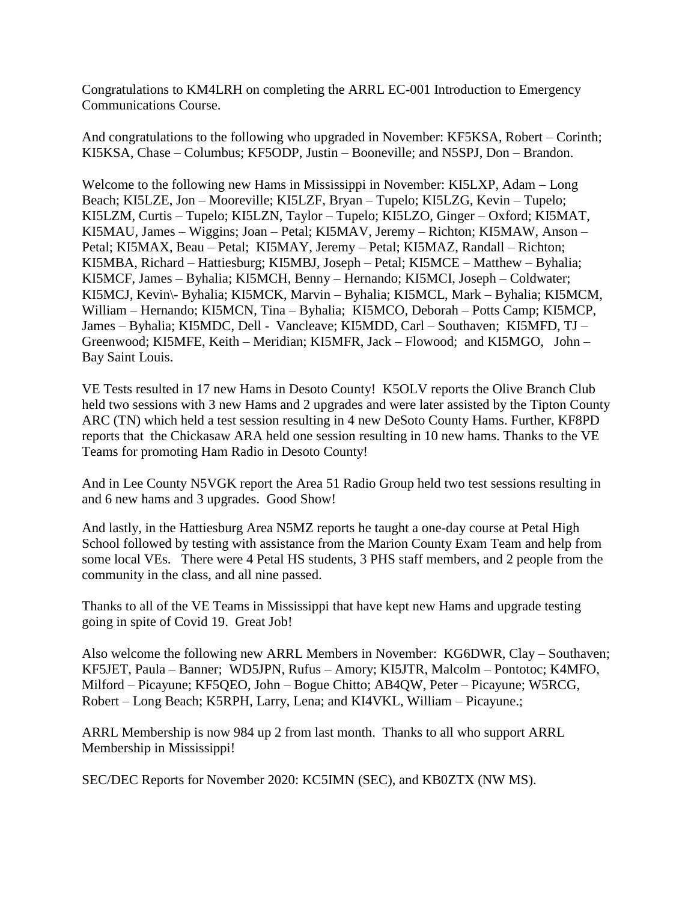Congratulations to KM4LRH on completing the ARRL EC-001 Introduction to Emergency Communications Course.

And congratulations to the following who upgraded in November: KF5KSA, Robert – Corinth; KI5KSA, Chase – Columbus; KF5ODP, Justin – Booneville; and N5SPJ, Don – Brandon.

Welcome to the following new Hams in Mississippi in November: KI5LXP, Adam – Long Beach; KI5LZE, Jon – Mooreville; KI5LZF, Bryan – Tupelo; KI5LZG, Kevin – Tupelo; KI5LZM, Curtis – Tupelo; KI5LZN, Taylor – Tupelo; KI5LZO, Ginger – Oxford; KI5MAT, KI5MAU, James – Wiggins; Joan – Petal; KI5MAV, Jeremy – Richton; KI5MAW, Anson – Petal; KI5MAX, Beau – Petal; KI5MAY, Jeremy – Petal; KI5MAZ, Randall – Richton; KI5MBA, Richard – Hattiesburg; KI5MBJ, Joseph – Petal; KI5MCE – Matthew – Byhalia; KI5MCF, James – Byhalia; KI5MCH, Benny – Hernando; KI5MCI, Joseph – Coldwater; KI5MCJ, Kevin\- Byhalia; KI5MCK, Marvin – Byhalia; KI5MCL, Mark – Byhalia; KI5MCM, William – Hernando; KI5MCN, Tina – Byhalia; KI5MCO, Deborah – Potts Camp; KI5MCP, James – Byhalia; KI5MDC, Dell - Vancleave; KI5MDD, Carl – Southaven; KI5MFD, TJ – Greenwood; KI5MFE, Keith – Meridian; KI5MFR, Jack – Flowood; and KI5MGO, John – Bay Saint Louis.

VE Tests resulted in 17 new Hams in Desoto County! K5OLV reports the Olive Branch Club held two sessions with 3 new Hams and 2 upgrades and were later assisted by the Tipton County ARC (TN) which held a test session resulting in 4 new DeSoto County Hams. Further, KF8PD reports that the Chickasaw ARA held one session resulting in 10 new hams. Thanks to the VE Teams for promoting Ham Radio in Desoto County!

And in Lee County N5VGK report the Area 51 Radio Group held two test sessions resulting in and 6 new hams and 3 upgrades. Good Show!

And lastly, in the Hattiesburg Area N5MZ reports he taught a one-day course at Petal High School followed by testing with assistance from the Marion County Exam Team and help from some local VEs. There were 4 Petal HS students, 3 PHS staff members, and 2 people from the community in the class, and all nine passed.

Thanks to all of the VE Teams in Mississippi that have kept new Hams and upgrade testing going in spite of Covid 19. Great Job!

Also welcome the following new ARRL Members in November: KG6DWR, Clay – Southaven; KF5JET, Paula – Banner; WD5JPN, Rufus – Amory; KI5JTR, Malcolm – Pontotoc; K4MFO, Milford – Picayune; KF5QEO, John – Bogue Chitto; AB4QW, Peter – Picayune; W5RCG, Robert – Long Beach; K5RPH, Larry, Lena; and KI4VKL, William – Picayune.;

ARRL Membership is now 984 up 2 from last month. Thanks to all who support ARRL Membership in Mississippi!

SEC/DEC Reports for November 2020: KC5IMN (SEC), and KB0ZTX (NW MS).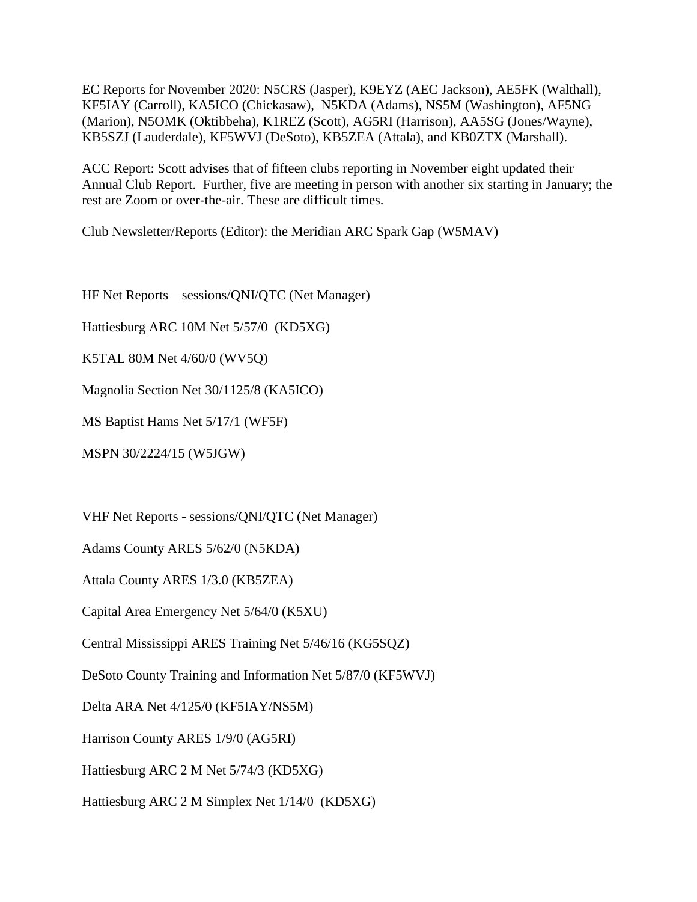EC Reports for November 2020: N5CRS (Jasper), K9EYZ (AEC Jackson), AE5FK (Walthall), KF5IAY (Carroll), KA5ICO (Chickasaw), N5KDA (Adams), NS5M (Washington), AF5NG (Marion), N5OMK (Oktibbeha), K1REZ (Scott), AG5RI (Harrison), AA5SG (Jones/Wayne), KB5SZJ (Lauderdale), KF5WVJ (DeSoto), KB5ZEA (Attala), and KB0ZTX (Marshall).

ACC Report: Scott advises that of fifteen clubs reporting in November eight updated their Annual Club Report. Further, five are meeting in person with another six starting in January; the rest are Zoom or over-the-air. These are difficult times.

Club Newsletter/Reports (Editor): the Meridian ARC Spark Gap (W5MAV)

HF Net Reports – sessions/QNI/QTC (Net Manager)

Hattiesburg ARC 10M Net 5/57/0 (KD5XG)

K5TAL 80M Net 4/60/0 (WV5Q)

Magnolia Section Net 30/1125/8 (KA5ICO)

MS Baptist Hams Net 5/17/1 (WF5F)

MSPN 30/2224/15 (W5JGW)

VHF Net Reports - sessions/QNI/QTC (Net Manager)

Adams County ARES 5/62/0 (N5KDA)

Attala County ARES 1/3.0 (KB5ZEA)

Capital Area Emergency Net 5/64/0 (K5XU)

Central Mississippi ARES Training Net 5/46/16 (KG5SQZ)

DeSoto County Training and Information Net 5/87/0 (KF5WVJ)

Delta ARA Net 4/125/0 (KF5IAY/NS5M)

Harrison County ARES 1/9/0 (AG5RI)

Hattiesburg ARC 2 M Net 5/74/3 (KD5XG)

Hattiesburg ARC 2 M Simplex Net 1/14/0 (KD5XG)